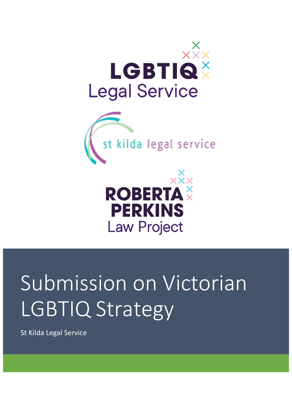





# Submission on Victorian LGBTIQ Strategy

St Kilda Legal Service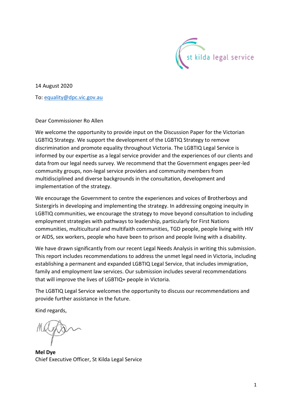

14 August 2020

To: [equality@dpc.vic.gov.au](about:blank)

Dear Commissioner Ro Allen

We welcome the opportunity to provide input on the Discussion Paper for the Victorian LGBTIQ Strategy. We support the development of the LGBTIQ Strategy to remove discrimination and promote equality throughout Victoria. The LGBTIQ Legal Service is informed by our expertise as a legal service provider and the experiences of our clients and data from our legal needs survey. We recommend that the Government engages peer-led community groups, non-legal service providers and community members from multidisciplined and diverse backgrounds in the consultation, development and implementation of the strategy.

We encourage the Government to centre the experiences and voices of Brotherboys and Sistergirls in developing and implementing the strategy. In addressing ongoing inequity in LGBTIQ communities, we encourage the strategy to move beyond consultation to including employment strategies with pathways to leadership, particularly for First Nations communities, multicultural and multifaith communities, TGD people, people living with HIV or AIDS, sex workers, people who have been to prison and people living with a disability.

We have drawn significantly from our recent Legal Needs Analysis in writing this submission. This report includes recommendations to address the unmet legal need in Victoria, including establishing a permanent and expanded LGBTIQ Legal Service, that includes immigration, family and employment law services. Our submission includes several recommendations that will improve the lives of LGBTIQ+ people in Victoria.

The LGBTIQ Legal Service welcomes the opportunity to discuss our recommendations and provide further assistance in the future.

Kind regards,

**Mel Dye** Chief Executive Officer, St Kilda Legal Service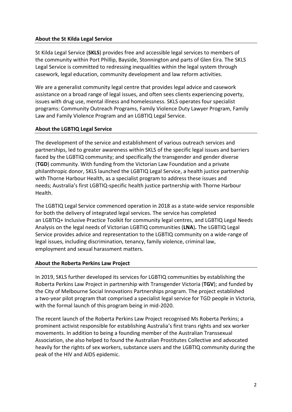## **About the St Kilda Legal Service**

St Kilda Legal Service (**SKLS**) provides free and accessible legal services to members of the community within Port Phillip, Bayside, Stonnington and parts of Glen Eira. The SKLS Legal Service is committed to redressing inequalities within the legal system through casework, legal education, community development and law reform activities.

We are a generalist community legal centre that provides legal advice and casework assistance on a broad range of legal issues, and often sees clients experiencing poverty, issues with drug use, mental illness and homelessness. SKLS operates four specialist programs: Community Outreach Programs, Family Violence Duty Lawyer Program, Family Law and Family Violence Program and an LGBTIQ Legal Service.

## **About the LGBTIQ Legal Service**

The development of the service and establishment of various outreach services and partnerships, led to greater awareness within SKLS of the specific legal issues and barriers faced by the LGBTIQ community; and specifically the transgender and gender diverse (**TGD**) community. With funding from the Victorian Law Foundation and a private philanthropic donor, SKLS launched the LGBTIQ Legal Service, a health justice partnership with Thorne Harbour Health, as a specialist program to address these issues and needs; Australia's first LGBTIQ-specific health justice partnership with Thorne Harbour Health.

The LGBTIQ Legal Service commenced operation in 2018 as a state-wide service responsible for both the delivery of integrated legal services. The service has completed an LGBTIQ+ Inclusive Practice Toolkit for community legal centres, and LGBTIQ Legal Needs Analysis on the legal needs of Victorian LGBTIQ communities (**LNA**)**.** The LGBTIQ Legal Service provides advice and representation to the LGBTIQ community on a wide-range of legal issues, including discrimination, tenancy, family violence, criminal law, employment and sexual harassment matters.

## **About the Roberta Perkins Law Project**

In 2019, SKLS further developed its services for LGBTIQ communities by establishing the Roberta Perkins Law Project in partnership with Transgender Victoria (**TGV**); and funded by the City of Melbourne Social Innovations Partnerships program. The project established a two-year pilot program that comprised a specialist legal service for TGD people in Victoria, with the formal launch of this program being in mid-2020.

The recent launch of the Roberta Perkins Law Project recognised Ms Roberta Perkins; a prominent activist responsible for establishing Australia's first trans rights and sex worker movements. In addition to being a founding member of the Australian Transsexual Association, she also helped to found the Australian Prostitutes Collective and advocated heavily for the rights of sex workers, substance users and the LGBTIQ community during the peak of the HIV and AIDS epidemic.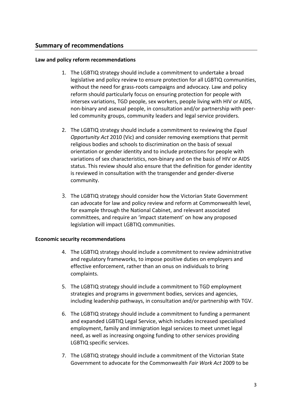## **Summary of recommendations**

#### **Law and policy reform recommendations**

- 1. The LGBTIQ strategy should include a commitment to undertake a broad legislative and policy review to ensure protection for all LGBTIQ communities, without the need for grass-roots campaigns and advocacy. Law and policy reform should particularly focus on ensuring protection for people with intersex variations, TGD people, sex workers, people living with HIV or AIDS, non-binary and asexual people, in consultation and/or partnership with peerled community groups, community leaders and legal service providers.
- 2. The LGBTIQ strategy should include a commitment to reviewing the *Equal Opportunity Act* 2010 (Vic) and consider removing exemptions that permit religious bodies and schools to discrimination on the basis of sexual orientation or gender identity and to include protections for people with variations of sex characteristics, non-binary and on the basis of HIV or AIDS status. This review should also ensure that the definition for gender identity is reviewed in consultation with the transgender and gender-diverse community.
- 3. The LGBTIQ strategy should consider how the Victorian State Government can advocate for law and policy review and reform at Commonwealth level, for example through the National Cabinet, and relevant associated committees, and require an 'impact statement' on how any proposed legislation will impact LGBTIQ communities.

#### **Economic security recommendations**

- 4. The LGBTIQ strategy should include a commitment to review administrative and regulatory frameworks, to impose positive duties on employers and effective enforcement, rather than an onus on individuals to bring complaints.
- 5. The LGBTIQ strategy should include a commitment to TGD employment strategies and programs in government bodies, services and agencies, including leadership pathways, in consultation and/or partnership with TGV.
- 6. The LGBTIQ strategy should include a commitment to funding a permanent and expanded LGBTIQ Legal Service, which includes increased specialised employment, family and immigration legal services to meet unmet legal need, as well as increasing ongoing funding to other services providing LGBTIQ specific services.
- 7. The LGBTIQ strategy should include a commitment of the Victorian State Government to advocate for the Commonwealth *Fair Work Act* 2009 to be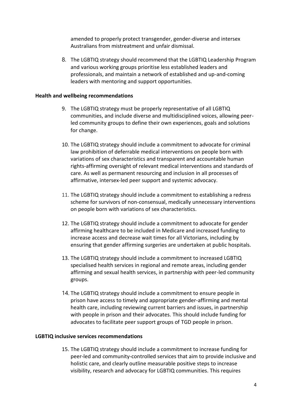amended to properly protect transgender, gender-diverse and intersex Australians from mistreatment and unfair dismissal.

8. The LGBTIQ strategy should recommend that the LGBTIQ Leadership Program and various working groups prioritise less established leaders and professionals, and maintain a network of established and up-and-coming leaders with mentoring and support opportunities.

#### **Health and wellbeing recommendations**

- 9. The LGBTIQ strategy must be properly representative of all LGBTIQ communities, and include diverse and multidisciplined voices, allowing peerled community groups to define their own experiences, goals and solutions for change.
- 10. The LGBTIQ strategy should include a commitment to advocate for criminal law prohibition of deferrable medical interventions on people born with variations of sex characteristics and transparent and accountable human rights-affirming oversight of relevant medical interventions and standards of care. As well as permanent resourcing and inclusion in all processes of affirmative, intersex-led peer support and systemic advocacy.
- 11. The LGBTIQ strategy should include a commitment to establishing a redress scheme for survivors of non-consensual, medically unnecessary interventions on people born with variations of sex characteristics.
- 12. The LGBTIQ strategy should include a commitment to advocate for gender affirming healthcare to be included in Medicare and increased funding to increase access and decrease wait times for all Victorians, including by ensuring that gender affirming surgeries are undertaken at public hospitals.
- 13. The LGBTIQ strategy should include a commitment to increased LGBTIQ specialised health services in regional and remote areas, including gender affirming and sexual health services, in partnership with peer-led community groups.
- 14. The LGBTIQ strategy should include a commitment to ensure people in prison have access to timely and appropriate gender-affirming and mental health care, including reviewing current barriers and issues, in partnership with people in prison and their advocates. This should include funding for advocates to facilitate peer support groups of TGD people in prison.

#### **LGBTIQ inclusive services recommendations**

15. The LGBTIQ strategy should include a commitment to increase funding for peer-led and community-controlled services that aim to provide inclusive and holistic care, and clearly outline measurable positive steps to increase visibility, research and advocacy for LGBTIQ communities. This requires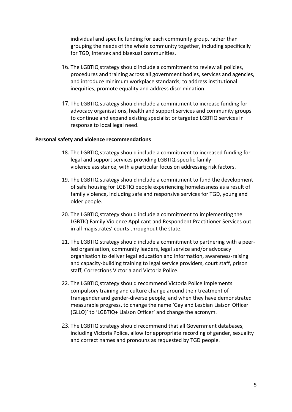individual and specific funding for each community group, rather than grouping the needs of the whole community together, including specifically for TGD, intersex and bisexual communities.

- 16. The LGBTIQ strategy should include a commitment to review all policies, procedures and training across all government bodies, services and agencies, and introduce minimum workplace standards; to address institutional inequities, promote equality and address discrimination.
- 17. The LGBTIQ strategy should include a commitment to increase funding for advocacy organisations, health and support services and community groups to continue and expand existing specialist or targeted LGBTIQ services in response to local legal need.

#### **Personal safety and violence recommendations**

- 18. The LGBTIQ strategy should include a commitment to increased funding for legal and support services providing LGBTIQ-specific family violence assistance, with a particular focus on addressing risk factors.
- 19. The LGBTIQ strategy should include a commitment to fund the development of safe housing for LGBTIQ people experiencing homelessness as a result of family violence, including safe and responsive services for TGD, young and older people.
- 20. The LGBTIQ strategy should include a commitment to implementing the LGBTIQ Family Violence Applicant and Respondent Practitioner Services out in all magistrates' courts throughout the state.
- 21. The LGBTIQ strategy should include a commitment to partnering with a peerled organisation, community leaders, legal service and/or advocacy organisation to deliver legal education and information, awareness-raising and capacity-building training to legal service providers, court staff, prison staff, Corrections Victoria and Victoria Police.
- 22. The LGBTIQ strategy should recommend Victoria Police implements compulsory training and culture change around their treatment of transgender and gender-diverse people, and when they have demonstrated measurable progress, to change the name 'Gay and Lesbian Liaison Officer (GLLO)' to 'LGBTIQ+ Liaison Officer' and change the acronym.
- 23. The LGBTIQ strategy should recommend that all Government databases, including Victoria Police, allow for appropriate recording of gender, sexuality and correct names and pronouns as requested by TGD people.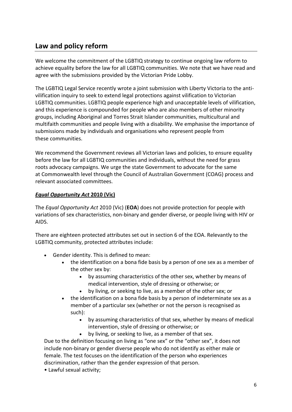# **Law and policy reform**

We welcome the commitment of the LGBTIQ strategy to continue ongoing law reform to achieve equality before the law for all LGBTIQ communities. We note that we have read and agree with the submissions provided by the Victorian Pride Lobby.

The LGBTIQ Legal Service recently wrote a joint submission with Liberty Victoria to the antivilification inquiry to seek to extend legal protections against vilification to Victorian LGBTIQ communities. LGBTIQ people experience high and unacceptable levels of vilification, and this experience is compounded for people who are also members of other minority groups, including Aboriginal and Torres Strait Islander communities, multicultural and multifaith communities and people living with a disability. We emphasise the importance of submissions made by individuals and organisations who represent people from these communities.

We recommend the Government reviews all Victorian laws and policies, to ensure equality before the law for all LGBTIQ communities and individuals, without the need for grass roots advocacy campaigns. We urge the state Government to advocate for the same at Commonwealth level through the Council of Australian Government (COAG) process and relevant associated committees.

## *Equal Opportunity Act* **2010 (Vic)**

The *Equal Opportunity Act* 2010 (Vic) (**EOA**) does not provide protection for people with variations of sex characteristics, non-binary and gender diverse, or people living with HIV or AIDS.

There are eighteen protected attributes set out in section 6 of the EOA. Relevantly to the LGBTIQ community, protected attributes include:

- Gender identity. This is defined to mean:
	- the identification on a bona fide basis by a person of one sex as a member of the other sex by:
		- by assuming characteristics of the other sex, whether by means of medical intervention, style of dressing or otherwise; or
		- by living, or seeking to live, as a member of the other sex; or
	- the identification on a bona fide basis by a person of indeterminate sex as a member of a particular sex (whether or not the person is recognised as such):
		- by assuming characteristics of that sex, whether by means of medical intervention, style of dressing or otherwise; or
		- by living, or seeking to live, as a member of that sex.

Due to the definition focusing on living as "one sex" or the "other sex", it does not include non-binary or gender diverse people who do not identify as either male or female. The test focuses on the identification of the person who experiences discrimination, rather than the gender expression of that person.

• Lawful sexual activity;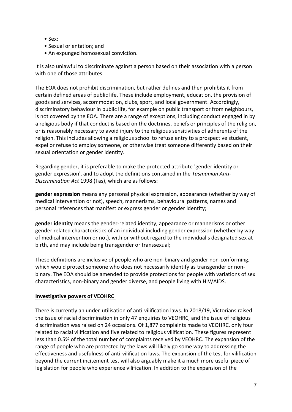- Sex;
- Sexual orientation; and
- An expunged homosexual conviction.

It is also unlawful to discriminate against a person based on their association with a person with one of those attributes.

The EOA does not prohibit discrimination, but rather defines and then prohibits it from certain defined areas of public life. These include employment, education, the provision of goods and services, accommodation, clubs, sport, and local government. Accordingly, discriminatory behaviour in public life, for example on public transport or from neighbours, is not covered by the EOA. There are a range of exceptions, including conduct engaged in by a religious body if that conduct is based on the doctrines, beliefs or principles of the religion, or is reasonably necessary to avoid injury to the religious sensitivities of adherents of the religion. This includes allowing a religious school to refuse entry to a prospective student, expel or refuse to employ someone, or otherwise treat someone differently based on their sexual orientation or gender identity.

Regarding gender, it is preferable to make the protected attribute 'gender identity or gender expression', and to adopt the definitions contained in the *Tasmanian Anti-Discrimination Act* 1998 (Tas), which are as follows:

**gender expression** means any personal physical expression, appearance (whether by way of medical intervention or not), speech, mannerisms, behavioural patterns, names and personal references that manifest or express gender or gender identity;

**gender identity** means the gender-related identity, appearance or mannerisms or other gender related characteristics of an individual including gender expression (whether by way of medical intervention or not), with or without regard to the individual's designated sex at birth, and may include being transgender or transsexual;

These definitions are inclusive of people who are non-binary and gender non-conforming, which would protect someone who does not necessarily identify as transgender or nonbinary. The EOA should be amended to provide protections for people with variations of sex characteristics, non-binary and gender diverse, and people living with HIV/AIDS.

## **Investigative powers of VEOHRC**

There is currently an under-utilisation of anti-vilification laws. In 2018/19, Victorians raised the issue of racial discrimination in only 47 enquiries to VEOHRC, and the issue of religious discrimination was raised on 24 occasions. Of 1,877 complaints made to VEOHRC, only four related to racial vilification and five related to religious vilification. These figures represent less than 0.5% of the total number of complaints received by VEOHRC. The expansion of the range of people who are protected by the laws will likely go some way to addressing the effectiveness and usefulness of anti-vilification laws. The expansion of the test for vilification beyond the current incitement test will also arguably make it a much more useful piece of legislation for people who experience vilification. In addition to the expansion of the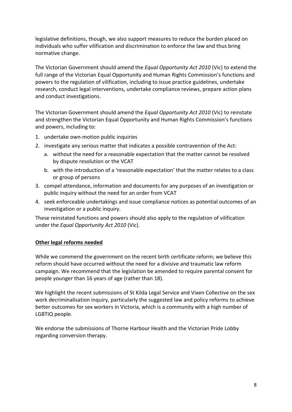legislative definitions, though, we also support measures to reduce the burden placed on individuals who suffer vilification and discrimination to enforce the law and thus bring normative change.

The Victorian Government should amend the *Equal Opportunity Act 2010* (Vic) to extend the full range of the Victorian Equal Opportunity and Human Rights Commission's functions and powers to the regulation of vilification, including to issue practice guidelines, undertake research, conduct legal interventions, undertake compliance reviews, prepare action plans and conduct investigations.

The Victorian Government should amend the *Equal Opportunity Act 2010* (Vic) to reinstate and strengthen the Victorian Equal Opportunity and Human Rights Commission's functions and powers, including to:

- 1. undertake own-motion public inquiries
- 2. investigate any serious matter that indicates a possible contravention of the Act:
	- a. without the need for a reasonable expectation that the matter cannot be resolved by dispute resolution or the VCAT
	- b. with the introduction of a 'reasonable expectation' that the matter relates to a class or group of persons
- 3. compel attendance, information and documents for any purposes of an investigation or public inquiry without the need for an order from VCAT
- 4. seek enforceable undertakings and issue compliance notices as potential outcomes of an investigation or a public inquiry.

These reinstated functions and powers should also apply to the regulation of vilification under the *Equal Opportunity Act 2010* (Vic).

## **Other legal reforms needed**

While we commend the government on the recent birth certificate reform; we believe this reform should have occurred without the need for a divisive and traumatic law reform campaign. We recommend that the legislation be amended to require parental consent for people younger than 16 years of age (rather than 18).

We highlight the recent submissions of St Kilda Legal Service and Vixen Collective on the sex work decriminalisation inquiry, particularly the suggested law and policy reforms to achieve better outcomes for sex workers in Victoria, which is a community with a high number of LGBTIQ people.

We endorse the submissions of Thorne Harbour Health and the Victorian Pride Lobby regarding conversion therapy.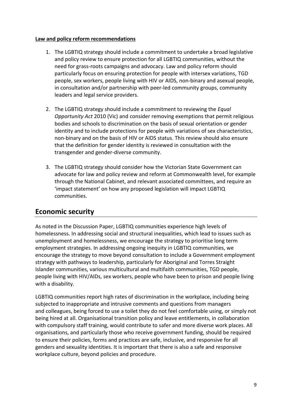#### **Law and policy reform recommendations**

- 1. The LGBTIQ strategy should include a commitment to undertake a broad legislative and policy review to ensure protection for all LGBTIQ communities, without the need for grass-roots campaigns and advocacy. Law and policy reform should particularly focus on ensuring protection for people with intersex variations, TGD people, sex workers, people living with HIV or AIDS, non-binary and asexual people, in consultation and/or partnership with peer-led community groups, community leaders and legal service providers.
- 2. The LGBTIQ strategy should include a commitment to reviewing the *Equal Opportunity Act* 2010 (Vic) and consider removing exemptions that permit religious bodies and schools to discrimination on the basis of sexual orientation or gender identity and to include protections for people with variations of sex characteristics, non-binary and on the basis of HIV or AIDS status. This review should also ensure that the definition for gender identity is reviewed in consultation with the transgender and gender-diverse community.
- 3. The LGBTIQ strategy should consider how the Victorian State Government can advocate for law and policy review and reform at Commonwealth level, for example through the National Cabinet, and relevant associated committees, and require an 'impact statement' on how any proposed legislation will impact LGBTIQ communities.

# **Economic security**

As noted in the Discussion Paper, LGBTIQ communities experience high levels of homelessness. In addressing social and structural inequalities, which lead to issues such as unemployment and homelessness, we encourage the strategy to prioritise long term employment strategies. In addressing ongoing inequity in LGBTIQ communities, we encourage the strategy to move beyond consultation to include a Government employment strategy with pathways to leadership, particularly for Aboriginal and Torres Straight Islander communities, various multicultural and multifaith communities, TGD people, people living with HIV/AIDs, sex workers, people who have been to prison and people living with a disability.

LGBTIQ communities report high rates of discrimination in the workplace, including being subjected to inappropriate and intrusive comments and questions from managers and colleagues, being forced to use a toilet they do not feel comfortable using, or simply not being hired at all. Organisational transition policy and leave entitlements, in collaboration with compulsory staff training, would contribute to safer and more diverse work places. All organisations, and particularly those who receive government funding, should be required to ensure their policies, forms and practices are safe, inclusive, and responsive for all genders and sexuality identities. It is important that there is also a safe and responsive workplace culture, beyond policies and procedure.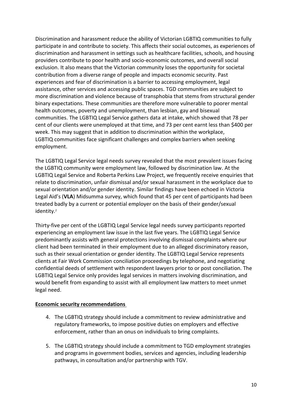Discrimination and harassment reduce the ability of Victorian LGBTIQ communities to fully participate in and contribute to society. This affects their social outcomes, as experiences of discrimination and harassment in settings such as healthcare facilities, schools, and housing providers contribute to poor health and socio-economic outcomes, and overall social exclusion. It also means that the Victorian community loses the opportunity for societal contribution from a diverse range of people and impacts economic security. Past experiences and fear of discrimination is a barrier to accessing employment, legal assistance, other services and accessing public spaces. TGD communities are subject to more discrimination and violence because of transphobia that stems from structural gender binary expectations. These communities are therefore more vulnerable to poorer mental health outcomes, poverty and unemployment, than lesbian, gay and bisexual communities. The LGBTIQ Legal Service gathers data at intake, which showed that 78 per cent of our clients were unemployed at that time, and 73 per cent earnt less than \$400 per week. This may suggest that in addition to discrimination within the workplace, LGBTIQ communities face significant challenges and complex barriers when seeking employment.

The LGBTIQ Legal Service legal needs survey revealed that the most prevalent issues facing the LGBTIQ community were employment law, followed by discrimination law. At the LGBTIQ Legal Service and Roberta Perkins Law Project, we frequently receive enquiries that relate to discrimination, unfair dismissal and/or sexual harassment in the workplace due to sexual orientation and/or gender identity. Similar findings have been echoed in Victoria Legal Aid's (**VLA**) Midsumma survey, which found that 45 per cent of participants had been treated badly by a current or potential employer on the basis of their gender/sexual identity.<sup>2</sup>

Thirty-five per cent of the LGBTIQ Legal Service legal needs survey participants reported experiencing an employment law issue in the last five years. The LGBTIQ Legal Service predominantly assists with general protections involving dismissal complaints where our client had been terminated in their employment due to an alleged discriminatory reason, such as their sexual orientation or gender identity. The LGBTIQ Legal Service represents clients at Fair Work Commission conciliation proceedings by telephone, and negotiating confidential deeds of settlement with respondent lawyers prior to or post conciliation. The LGBTIQ Legal Service only provides legal services in matters involving discrimination, and would benefit from expanding to assist with all employment law matters to meet unmet legal need.

## **Economic security recommendations**

- 4. The LGBTIQ strategy should include a commitment to review administrative and regulatory frameworks, to impose positive duties on employers and effective enforcement, rather than an onus on individuals to bring complaints.
- 5. The LGBTIQ strategy should include a commitment to TGD employment strategies and programs in government bodies, services and agencies, including leadership pathways, in consultation and/or partnership with TGV.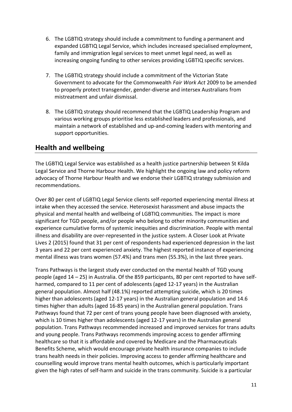- 6. The LGBTIQ strategy should include a commitment to funding a permanent and expanded LGBTIQ Legal Service, which includes increased specialised employment, family and immigration legal services to meet unmet legal need, as well as increasing ongoing funding to other services providing LGBTIQ specific services.
- 7. The LGBTIQ strategy should include a commitment of the Victorian State Government to advocate for the Commonwealth *Fair Work Act* 2009 to be amended to properly protect transgender, gender-diverse and intersex Australians from mistreatment and unfair dismissal.
- 8. The LGBTIQ strategy should recommend that the LGBTIQ Leadership Program and various working groups prioritise less established leaders and professionals, and maintain a network of established and up-and-coming leaders with mentoring and support opportunities.

# **Health and wellbeing**

The LGBTIQ Legal Service was established as a health justice partnership between St Kilda Legal Service and Thorne Harbour Health. We highlight the ongoing law and policy reform advocacy of Thorne Harbour Health and we endorse their LGBTIQ strategy submission and recommendations.

Over 80 per cent of LGBTIQ Legal Service clients self-reported experiencing mental illness at intake when they accessed the service. Heterosexist harassment and abuse impacts the physical and mental health and wellbeing of LGBTIQ communities. The impact is more significant for TGD people, and/or people who belong to other minority communities and experience cumulative forms of systemic inequities and discrimination. People with mental illness and disability are over-represented in the justice system. A Closer Look at Private Lives 2 (2015) found that 31 per cent of respondents had experienced depression in the last 3 years and 22 per cent experienced anxiety. The highest reported instance of experiencing mental illness was trans women (57.4%) and trans men (55.3%), in the last three years.

Trans Pathways is the largest study ever conducted on the mental health of TGD young people (aged 14 – 25) in Australia. Of the 859 participants, 80 per cent reported to have selfharmed, compared to 11 per cent of adolescents (aged 12-17 years) in the Australian general population. Almost half (48.1%) reported attempting suicide, which is 20 times higher than adolescents (aged 12-17 years) in the Australian general population and 14.6 times higher than adults (aged 16-85 years) in the Australian general population. Trans Pathways found that 72 per cent of trans young people have been diagnosed with anxiety, which is 10 times higher than adolescents (aged 12-17 years) in the Australian general population. Trans Pathways recommended increased and improved services for trans adults and young people. Trans Pathways recommends improving access to gender affirming healthcare so that it is affordable and covered by Medicare and the Pharmaceuticals Benefits Scheme, which would encourage private health insurance companies to include trans health needs in their policies. Improving access to gender affirming healthcare and counselling would improve trans mental health outcomes, which is particularly important given the high rates of self-harm and suicide in the trans community. Suicide is a particular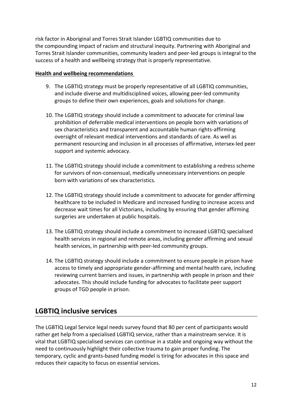risk factor in Aboriginal and Torres Strait Islander LGBTIQ communities due to the compounding impact of racism and structural inequity. Partnering with Aboriginal and Torres Strait Islander communities, community leaders and peer-led groups is integral to the success of a health and wellbeing strategy that is properly representative.

## **Health and wellbeing recommendations**

- 9. The LGBTIQ strategy must be properly representative of all LGBTIQ communities, and include diverse and multidisciplined voices, allowing peer-led community groups to define their own experiences, goals and solutions for change.
- 10. The LGBTIQ strategy should include a commitment to advocate for criminal law prohibition of deferrable medical interventions on people born with variations of sex characteristics and transparent and accountable human rights-affirming oversight of relevant medical interventions and standards of care. As well as permanent resourcing and inclusion in all processes of affirmative, intersex-led peer support and systemic advocacy.
- 11. The LGBTIQ strategy should include a commitment to establishing a redress scheme for survivors of non-consensual, medically unnecessary interventions on people born with variations of sex characteristics.
- 12. The LGBTIQ strategy should include a commitment to advocate for gender affirming healthcare to be included in Medicare and increased funding to increase access and decrease wait times for all Victorians, including by ensuring that gender affirming surgeries are undertaken at public hospitals.
- 13. The LGBTIQ strategy should include a commitment to increased LGBTIQ specialised health services in regional and remote areas, including gender affirming and sexual health services, in partnership with peer-led community groups.
- 14. The LGBTIQ strategy should include a commitment to ensure people in prison have access to timely and appropriate gender-affirming and mental health care, including reviewing current barriers and issues, in partnership with people in prison and their advocates. This should include funding for advocates to facilitate peer support groups of TGD people in prison.

# **LGBTIQ inclusive services**

The LGBTIQ Legal Service legal needs survey found that 80 per cent of participants would rather get help from a specialised LGBTIQ service, rather than a mainstream service. It is vital that LGBTIQ specialised services can continue in a stable and ongoing way without the need to continuously highlight their collective trauma to gain proper funding. The temporary, cyclic and grants-based funding model is tiring for advocates in this space and reduces their capacity to focus on essential services.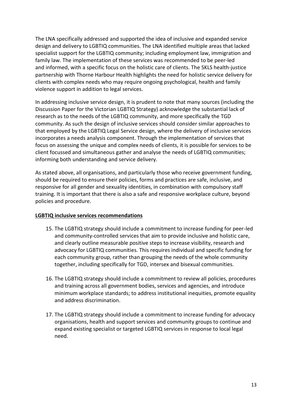The LNA specifically addressed and supported the idea of inclusive and expanded service design and delivery to LGBTIQ communities. The LNA identified multiple areas that lacked specialist support for the LGBTIQ community; including employment law, immigration and family law. The implementation of these services was recommended to be peer-led and informed, with a specific focus on the holistic care of clients. The SKLS health-justice partnership with Thorne Harbour Health highlights the need for holistic service delivery for clients with complex needs who may require ongoing psychological, health and family violence support in addition to legal services.

In addressing inclusive service design, it is prudent to note that many sources (including the Discussion Paper for the Victorian LGBTIQ Strategy) acknowledge the substantial lack of research as to the needs of the LGBTIQ community, and more specifically the TGD community. As such the design of inclusive services should consider similar approaches to that employed by the LGBTIQ Legal Service design, where the delivery of inclusive services incorporates a needs analysis component. Through the implementation of services that focus on assessing the unique and complex needs of clients, it is possible for services to be client focussed and simultaneous gather and analyse the needs of LGBTIQ communities; informing both understanding and service delivery.

As stated above, all organisations, and particularly those who receive government funding, should be required to ensure their policies, forms and practices are safe, inclusive, and responsive for all gender and sexuality identities, in combination with compulsory staff training. It is important that there is also a safe and responsive workplace culture, beyond policies and procedure.

## **LGBTIQ inclusive services recommendations**

- 15. The LGBTIQ strategy should include a commitment to increase funding for peer-led and community-controlled services that aim to provide inclusive and holistic care, and clearly outline measurable positive steps to increase visibility, research and advocacy for LGBTIQ communities. This requires individual and specific funding for each community group, rather than grouping the needs of the whole community together, including specifically for TGD, intersex and bisexual communities.
- 16. The LGBTIQ strategy should include a commitment to review all policies, procedures and training across all government bodies, services and agencies, and introduce minimum workplace standards; to address institutional inequities, promote equality and address discrimination.
- 17. The LGBTIQ strategy should include a commitment to increase funding for advocacy organisations, health and support services and community groups to continue and expand existing specialist or targeted LGBTIQ services in response to local legal need.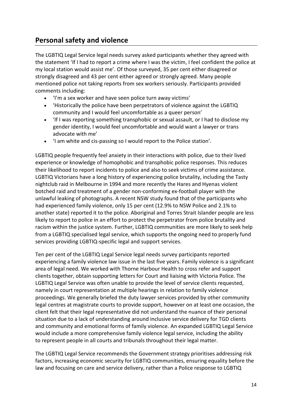# **Personal safety and violence**

The LGBTIQ Legal Service legal needs survey asked participants whether they agreed with the statement 'If I had to report a crime where I was the victim, I feel confident the police at my local station would assist me'. Of those surveyed, 35 per cent either disagreed or strongly disagreed and 43 per cent either agreed or strongly agreed. Many people mentioned police not taking reports from sex workers seriously. Participants provided comments including:

- 'I'm a sex worker and have seen police turn away victims'
- 'Historically the police have been perpetrators of violence against the LGBTIQ community and I would feel uncomfortable as a queer person'
- 'If I was reporting something transphobic or sexual assault, or I had to disclose my gender identity, I would feel uncomfortable and would want a lawyer or trans advocate with me'
- 'I am white and cis-passing so I would report to the Police station'.

LGBTIQ people frequently feel anxiety in their interactions with police, due to their lived experience or knowledge of homophobic and transphobic police responses. This reduces their likelihood to report incidents to police and also to seek victims of crime assistance. LGBTIQ Victorians have a long history of experiencing police brutality, including the Tasty nightclub raid in Melbourne in 1994 and more recently the Hares and Hyenas violent botched raid and treatment of a gender non-conforming ex-football player with the unlawful leaking of photographs. A recent NSW study found that of the participants who had experienced family violence, only 15 per cent (12.9% to NSW Police and 2.1% to another state) reported it to the police. Aboriginal and Torres Strait Islander people are less likely to report to police in an effort to protect the perpetrator from police brutality and racism within the justice system. Further, LGBTIQ communities are more likely to seek help from a LGBTIQ specialised legal service, which supports the ongoing need to properly fund services providing LGBTIQ-specific legal and support services.

Ten per cent of the LGBTIQ Legal Service legal needs survey participants reported experiencing a family violence law issue in the last five years. Family violence is a significant area of legal need. We worked with Thorne Harbour Health to cross refer and support clients together, obtain supporting letters for Court and liaising with Victoria Police. The LGBTIQ Legal Service was often unable to provide the level of service clients requested, namely in court representation at multiple hearings in relation to family violence proceedings. We generally briefed the duty lawyer services provided by other community legal centres at magistrate courts to provide support, however on at least one occasion, the client felt that their legal representative did not understand the nuance of their personal situation due to a lack of understanding around inclusive service delivery for TGD clients and community and emotional forms of family violence. An expanded LGBTIQ Legal Service would include a more comprehensive family violence legal service, including the ability to represent people in all courts and tribunals throughout their legal matter.

The LGBTIQ Legal Service recommends the Government strategy prioritises addressing risk factors, increasing economic security for LGBTIQ communities, ensuring equality before the law and focusing on care and service delivery, rather than a Police response to LGBTIQ